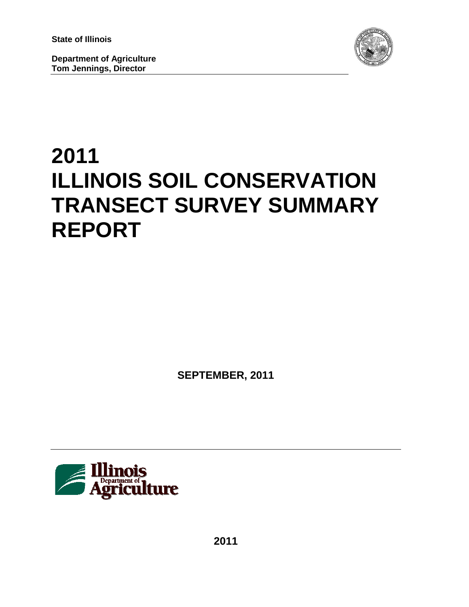**State of Illinois**

**Department of Agriculture Tom Jennings, Director**



# **2011 ILLINOIS SOIL CONSERVATION TRANSECT SURVEY SUMMARY REPORT**

**SEPTEMBER, 2011**



**2011**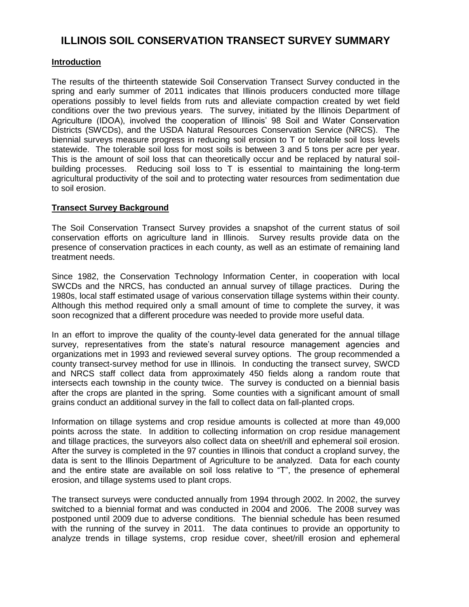# **ILLINOIS SOIL CONSERVATION TRANSECT SURVEY SUMMARY**

## **Introduction**

The results of the thirteenth statewide Soil Conservation Transect Survey conducted in the spring and early summer of 2011 indicates that Illinois producers conducted more tillage operations possibly to level fields from ruts and alleviate compaction created by wet field conditions over the two previous years. The survey, initiated by the Illinois Department of Agriculture (IDOA), involved the cooperation of Illinois' 98 Soil and Water Conservation Districts (SWCDs), and the USDA Natural Resources Conservation Service (NRCS). The biennial surveys measure progress in reducing soil erosion to T or tolerable soil loss levels statewide. The tolerable soil loss for most soils is between 3 and 5 tons per acre per year. This is the amount of soil loss that can theoretically occur and be replaced by natural soilbuilding processes. Reducing soil loss to T is essential to maintaining the long-term agricultural productivity of the soil and to protecting water resources from sedimentation due to soil erosion.

### **Transect Survey Background**

The Soil Conservation Transect Survey provides a snapshot of the current status of soil conservation efforts on agriculture land in Illinois. Survey results provide data on the presence of conservation practices in each county, as well as an estimate of remaining land treatment needs.

Since 1982, the Conservation Technology Information Center, in cooperation with local SWCDs and the NRCS, has conducted an annual survey of tillage practices. During the 1980s, local staff estimated usage of various conservation tillage systems within their county. Although this method required only a small amount of time to complete the survey, it was soon recognized that a different procedure was needed to provide more useful data.

In an effort to improve the quality of the county-level data generated for the annual tillage survey, representatives from the state's natural resource management agencies and organizations met in 1993 and reviewed several survey options. The group recommended a county transect-survey method for use in Illinois. In conducting the transect survey, SWCD and NRCS staff collect data from approximately 450 fields along a random route that intersects each township in the county twice. The survey is conducted on a biennial basis after the crops are planted in the spring. Some counties with a significant amount of small grains conduct an additional survey in the fall to collect data on fall-planted crops.

Information on tillage systems and crop residue amounts is collected at more than 49,000 points across the state. In addition to collecting information on crop residue management and tillage practices, the surveyors also collect data on sheet/rill and ephemeral soil erosion. After the survey is completed in the 97 counties in Illinois that conduct a cropland survey, the data is sent to the Illinois Department of Agriculture to be analyzed. Data for each county and the entire state are available on soil loss relative to "T", the presence of ephemeral erosion, and tillage systems used to plant crops.

The transect surveys were conducted annually from 1994 through 2002. In 2002, the survey switched to a biennial format and was conducted in 2004 and 2006. The 2008 survey was postponed until 2009 due to adverse conditions. The biennial schedule has been resumed with the running of the survey in 2011. The data continues to provide an opportunity to analyze trends in tillage systems, crop residue cover, sheet/rill erosion and ephemeral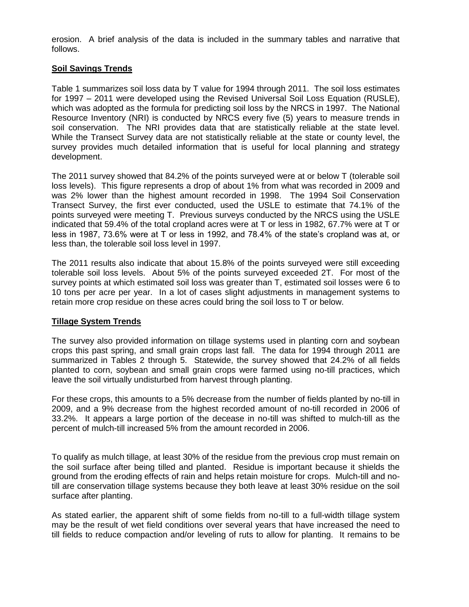erosion. A brief analysis of the data is included in the summary tables and narrative that follows.

### **Soil Savings Trends**

Table 1 summarizes soil loss data by T value for 1994 through 2011. The soil loss estimates for 1997 – 2011 were developed using the Revised Universal Soil Loss Equation (RUSLE), which was adopted as the formula for predicting soil loss by the NRCS in 1997. The National Resource Inventory (NRI) is conducted by NRCS every five (5) years to measure trends in soil conservation. The NRI provides data that are statistically reliable at the state level. While the Transect Survey data are not statistically reliable at the state or county level, the survey provides much detailed information that is useful for local planning and strategy development.

The 2011 survey showed that 84.2% of the points surveyed were at or below T (tolerable soil loss levels). This figure represents a drop of about 1% from what was recorded in 2009 and was 2% lower than the highest amount recorded in 1998. The 1994 Soil Conservation Transect Survey, the first ever conducted, used the USLE to estimate that 74.1% of the points surveyed were meeting T. Previous surveys conducted by the NRCS using the USLE indicated that 59.4% of the total cropland acres were at T or less in 1982, 67.7% were at T or less in 1987, 73.6% were at T or less in 1992, and 78.4% of the state's cropland was at, or less than, the tolerable soil loss level in 1997.

The 2011 results also indicate that about 15.8% of the points surveyed were still exceeding tolerable soil loss levels. About 5% of the points surveyed exceeded 2T. For most of the survey points at which estimated soil loss was greater than T, estimated soil losses were 6 to 10 tons per acre per year. In a lot of cases slight adjustments in management systems to retain more crop residue on these acres could bring the soil loss to T or below.

#### **Tillage System Trends**

The survey also provided information on tillage systems used in planting corn and soybean crops this past spring, and small grain crops last fall. The data for 1994 through 2011 are summarized in Tables 2 through 5. Statewide, the survey showed that 24.2% of all fields planted to corn, soybean and small grain crops were farmed using no-till practices, which leave the soil virtually undisturbed from harvest through planting.

For these crops, this amounts to a 5% decrease from the number of fields planted by no-till in 2009, and a 9% decrease from the highest recorded amount of no-till recorded in 2006 of 33.2%. It appears a large portion of the decease in no-till was shifted to mulch-till as the percent of mulch-till increased 5% from the amount recorded in 2006.

To qualify as mulch tillage, at least 30% of the residue from the previous crop must remain on the soil surface after being tilled and planted. Residue is important because it shields the ground from the eroding effects of rain and helps retain moisture for crops. Mulch-till and notill are conservation tillage systems because they both leave at least 30% residue on the soil surface after planting.

As stated earlier, the apparent shift of some fields from no-till to a full-width tillage system may be the result of wet field conditions over several years that have increased the need to till fields to reduce compaction and/or leveling of ruts to allow for planting. It remains to be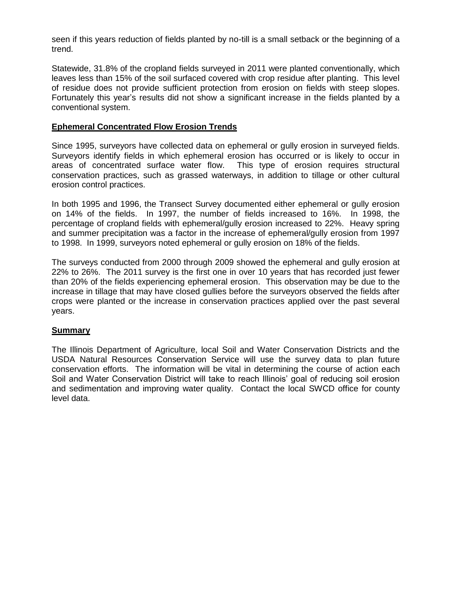seen if this years reduction of fields planted by no-till is a small setback or the beginning of a trend.

Statewide, 31.8% of the cropland fields surveyed in 2011 were planted conventionally, which leaves less than 15% of the soil surfaced covered with crop residue after planting. This level of residue does not provide sufficient protection from erosion on fields with steep slopes. Fortunately this year's results did not show a significant increase in the fields planted by a conventional system.

#### **Ephemeral Concentrated Flow Erosion Trends**

Since 1995, surveyors have collected data on ephemeral or gully erosion in surveyed fields. Surveyors identify fields in which ephemeral erosion has occurred or is likely to occur in areas of concentrated surface water flow. This type of erosion requires structural conservation practices, such as grassed waterways, in addition to tillage or other cultural erosion control practices.

In both 1995 and 1996, the Transect Survey documented either ephemeral or gully erosion on 14% of the fields. In 1997, the number of fields increased to 16%. In 1998, the percentage of cropland fields with ephemeral/gully erosion increased to 22%. Heavy spring and summer precipitation was a factor in the increase of ephemeral/gully erosion from 1997 to 1998. In 1999, surveyors noted ephemeral or gully erosion on 18% of the fields.

The surveys conducted from 2000 through 2009 showed the ephemeral and gully erosion at 22% to 26%. The 2011 survey is the first one in over 10 years that has recorded just fewer than 20% of the fields experiencing ephemeral erosion. This observation may be due to the increase in tillage that may have closed gullies before the surveyors observed the fields after crops were planted or the increase in conservation practices applied over the past several years.

#### **Summary**

The Illinois Department of Agriculture, local Soil and Water Conservation Districts and the USDA Natural Resources Conservation Service will use the survey data to plan future conservation efforts. The information will be vital in determining the course of action each Soil and Water Conservation District will take to reach Illinois' goal of reducing soil erosion and sedimentation and improving water quality. Contact the local SWCD office for county level data.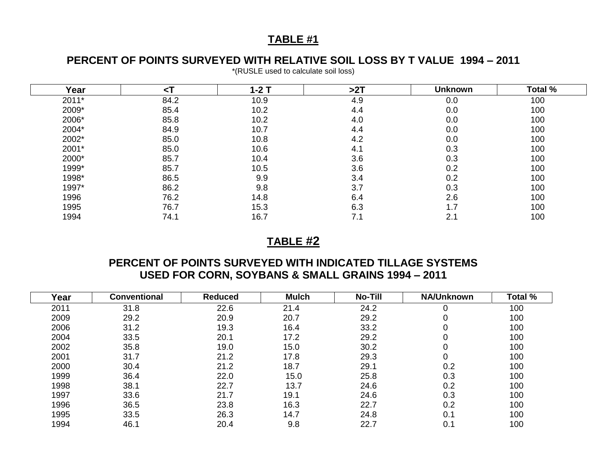# **TABLE #1**

# **PERCENT OF POINTS SURVEYED WITH RELATIVE SOIL LOSS BY T VALUE 1994 – 2011**

| Year  | $\leq$ T | $1-2$ T | >2T | <b>Unknown</b> | Total % |
|-------|----------|---------|-----|----------------|---------|
| 2011* | 84.2     | 10.9    | 4.9 | 0.0            | 100     |
| 2009* | 85.4     | 10.2    | 4.4 | 0.0            | 100     |
| 2006* | 85.8     | 10.2    | 4.0 | 0.0            | 100     |
| 2004* | 84.9     | 10.7    | 4.4 | 0.0            | 100     |
| 2002* | 85.0     | 10.8    | 4.2 | 0.0            | 100     |
| 2001* | 85.0     | 10.6    | 4.1 | 0.3            | 100     |
| 2000* | 85.7     | 10.4    | 3.6 | 0.3            | 100     |
| 1999* | 85.7     | 10.5    | 3.6 | 0.2            | 100     |
| 1998* | 86.5     | 9.9     | 3.4 | 0.2            | 100     |
| 1997* | 86.2     | 9.8     | 3.7 | 0.3            | 100     |
| 1996  | 76.2     | 14.8    | 6.4 | 2.6            | 100     |
| 1995  | 76.7     | 15.3    | 6.3 | 1.7            | 100     |
| 1994  | 74.1     | 16.7    | 7.1 | 2.1            | 100     |

\*(RUSLE used to calculate soil loss)

## **TABLE #2**

# **PERCENT OF POINTS SURVEYED WITH INDICATED TILLAGE SYSTEMS USED FOR CORN, SOYBANS & SMALL GRAINS 1994 – 2011**

| Year | <b>Conventional</b> | <b>Reduced</b> | <b>Mulch</b> | No-Till | <b>NA/Unknown</b> | Total % |
|------|---------------------|----------------|--------------|---------|-------------------|---------|
| 2011 | 31.8                | 22.6           | 21.4         | 24.2    |                   | 100     |
| 2009 | 29.2                | 20.9           | 20.7         | 29.2    | 0                 | 100     |
| 2006 | 31.2                | 19.3           | 16.4         | 33.2    | 0                 | 100     |
| 2004 | 33.5                | 20.1           | 17.2         | 29.2    |                   | 100     |
| 2002 | 35.8                | 19.0           | 15.0         | 30.2    | U                 | 100     |
| 2001 | 31.7                | 21.2           | 17.8         | 29.3    | 0                 | 100     |
| 2000 | 30.4                | 21.2           | 18.7         | 29.1    | 0.2               | 100     |
| 1999 | 36.4                | 22.0           | 15.0         | 25.8    | 0.3               | 100     |
| 1998 | 38.1                | 22.7           | 13.7         | 24.6    | 0.2               | 100     |
| 1997 | 33.6                | 21.7           | 19.1         | 24.6    | 0.3               | 100     |
| 1996 | 36.5                | 23.8           | 16.3         | 22.7    | 0.2               | 100     |
| 1995 | 33.5                | 26.3           | 14.7         | 24.8    | 0.1               | 100     |
| 1994 | 46.1                | 20.4           | 9.8          | 22.7    | 0.1               | 100     |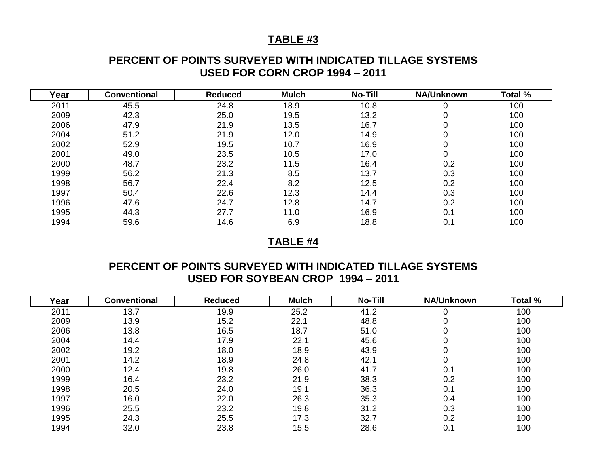## **TABLE #3**

## **PERCENT OF POINTS SURVEYED WITH INDICATED TILLAGE SYSTEMS USED FOR CORN CROP 1994 – 2011**

| Year | <b>Conventional</b> | <b>Reduced</b> | <b>Mulch</b> | No-Till | <b>NA/Unknown</b> | Total % |
|------|---------------------|----------------|--------------|---------|-------------------|---------|
| 2011 | 45.5                | 24.8           | 18.9         | 10.8    |                   | 100     |
| 2009 | 42.3                | 25.0           | 19.5         | 13.2    | 0                 | 100     |
| 2006 | 47.9                | 21.9           | 13.5         | 16.7    | 0                 | 100     |
| 2004 | 51.2                | 21.9           | 12.0         | 14.9    |                   | 100     |
| 2002 | 52.9                | 19.5           | 10.7         | 16.9    | 0                 | 100     |
| 2001 | 49.0                | 23.5           | 10.5         | 17.0    | 0                 | 100     |
| 2000 | 48.7                | 23.2           | 11.5         | 16.4    | 0.2               | 100     |
| 1999 | 56.2                | 21.3           | 8.5          | 13.7    | 0.3               | 100     |
| 1998 | 56.7                | 22.4           | 8.2          | 12.5    | 0.2               | 100     |
| 1997 | 50.4                | 22.6           | 12.3         | 14.4    | 0.3               | 100     |
| 1996 | 47.6                | 24.7           | 12.8         | 14.7    | 0.2               | 100     |
| 1995 | 44.3                | 27.7           | 11.0         | 16.9    | 0.1               | 100     |
| 1994 | 59.6                | 14.6           | 6.9          | 18.8    | 0.1               | 100     |

## **TABLE #4**

## **PERCENT OF POINTS SURVEYED WITH INDICATED TILLAGE SYSTEMS USED FOR SOYBEAN CROP 1994 – 2011**

| Year | <b>Conventional</b> | <b>Reduced</b> | <b>Mulch</b> | <b>No-Till</b> | <b>NA/Unknown</b> | Total % |
|------|---------------------|----------------|--------------|----------------|-------------------|---------|
| 2011 | 13.7                | 19.9           | 25.2         | 41.2           |                   | 100     |
| 2009 | 13.9                | 15.2           | 22.1         | 48.8           | 0                 | 100     |
| 2006 | 13.8                | 16.5           | 18.7         | 51.0           | 0                 | 100     |
| 2004 | 14.4                | 17.9           | 22.1         | 45.6           | 0                 | 100     |
| 2002 | 19.2                | 18.0           | 18.9         | 43.9           | 0                 | 100     |
| 2001 | 14.2                | 18.9           | 24.8         | 42.1           | 0                 | 100     |
| 2000 | 12.4                | 19.8           | 26.0         | 41.7           | 0.1               | 100     |
| 1999 | 16.4                | 23.2           | 21.9         | 38.3           | 0.2               | 100     |
| 1998 | 20.5                | 24.0           | 19.1         | 36.3           | 0.1               | 100     |
| 1997 | 16.0                | 22.0           | 26.3         | 35.3           | 0.4               | 100     |
| 1996 | 25.5                | 23.2           | 19.8         | 31.2           | 0.3               | 100     |
| 1995 | 24.3                | 25.5           | 17.3         | 32.7           | 0.2               | 100     |
| 1994 | 32.0                | 23.8           | 15.5         | 28.6           | 0.1               | 100     |